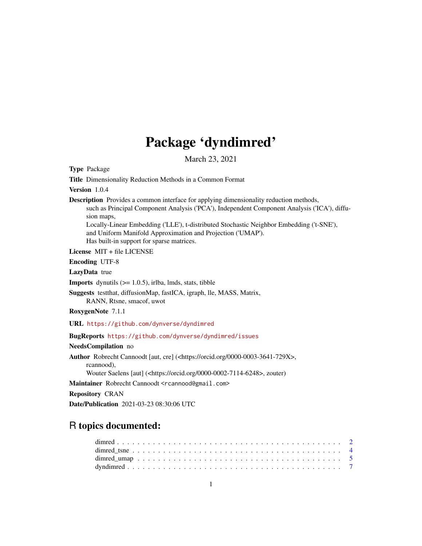## Package 'dyndimred'

March 23, 2021

<span id="page-0-0"></span>Type Package

Title Dimensionality Reduction Methods in a Common Format

Version 1.0.4

Description Provides a common interface for applying dimensionality reduction methods, such as Principal Component Analysis ('PCA'), Independent Component Analysis ('ICA'), diffusion maps, Locally-Linear Embedding ('LLE'), t-distributed Stochastic Neighbor Embedding ('t-SNE'),

and Uniform Manifold Approximation and Projection ('UMAP').

Has built-in support for sparse matrices.

License MIT + file LICENSE

Encoding UTF-8

LazyData true

**Imports** dynutils  $(>= 1.0.5)$ , irlba, lmds, stats, tibble

Suggests testthat, diffusionMap, fastICA, igraph, lle, MASS, Matrix, RANN, Rtsne, smacof, uwot

RoxygenNote 7.1.1

URL <https://github.com/dynverse/dyndimred>

#### BugReports <https://github.com/dynverse/dyndimred/issues>

NeedsCompilation no

Author Robrecht Cannoodt [aut, cre] (<https://orcid.org/0000-0003-3641-729X>, rcannood),

Wouter Saelens [aut] (<https://orcid.org/0000-0002-7114-6248>, zouter)

Maintainer Robrecht Cannoodt <rcannood@gmail.com>

Repository CRAN

Date/Publication 2021-03-23 08:30:06 UTC

## R topics documented: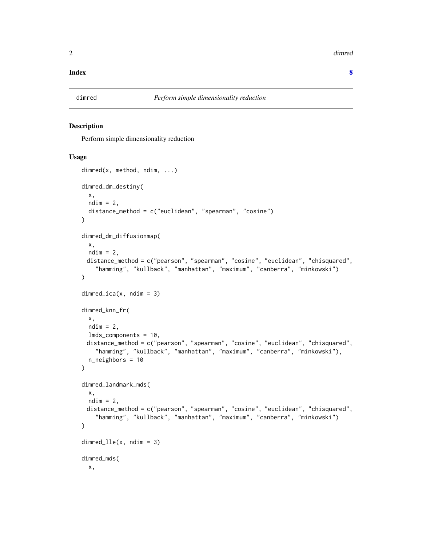<span id="page-1-0"></span>2 dimred and the contract of the contract of the contract of the contract of the contract of the contract of the contract of the contract of the contract of the contract of the contract of the contract of the contract of t

#### **Index** [8](#page-7-0) **8**

## Description

Perform simple dimensionality reduction

#### Usage

```
dimred(x, method, ndim, ...)
dimred_dm_destiny(
 x,
 ndim = 2,
 distance_method = c("euclidean", "spearman", "cosine")
)
dimred_dm_diffusionmap(
 x,
 ndim = 2,
 distance_method = c("pearson", "spearman", "cosine", "euclidean", "chisquared",
    "hamming", "kullback", "manhattan", "maximum", "canberra", "minkowski")
)
dimred\_ica(x, ndim = 3)dimred_knn_fr(
 x,
 ndim = 2,lmds_components = 10,
 distance_method = c("pearson", "spearman", "cosine", "euclidean", "chisquared",
    "hamming", "kullback", "manhattan", "maximum", "canberra", "minkowski"),
 n_neighbors = 10
\mathcal{E}dimred_landmark_mds(
 x,
 ndim = 2,distance_method = c("pearson", "spearman", "cosine", "euclidean", "chisquared",
    "hamming", "kullback", "manhattan", "maximum", "canberra", "minkowski")
\lambdadimred_lle(x, ndim = 3)
dimred_mds(
 x,
```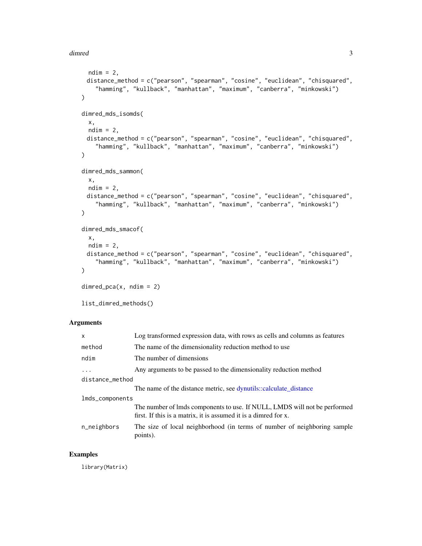#### <span id="page-2-0"></span>dimred 3

```
ndim = 2,
 distance_method = c("pearson", "spearman", "cosine", "euclidean", "chisquared",
    "hamming", "kullback", "manhattan", "maximum", "canberra", "minkowski")
\lambdadimred_mds_isomds(
 x,
 ndim = 2,
 distance_method = c("pearson", "spearman", "cosine", "euclidean", "chisquared",
    "hamming", "kullback", "manhattan", "maximum", "canberra", "minkowski")
\mathcal{L}dimred_mds_sammon(
 x,
 ndim = 2,distance_method = c("pearson", "spearman", "cosine", "euclidean", "chisquared",
    "hamming", "kullback", "manhattan", "maximum", "canberra", "minkowski")
)
dimred_mds_smacof(
 x,
 ndim = 2,
 distance_method = c("pearson", "spearman", "cosine", "euclidean", "chisquared",
    "hamming", "kullback", "manhattan", "maximum", "canberra", "minkowski")
\lambdadimred_pca(x, ndim = 2)
```

```
list_dimred_methods()
```
## Arguments

| $\mathsf{x}$    | Log transformed expression data, with rows as cells and columns as features                                                                  |
|-----------------|----------------------------------------------------------------------------------------------------------------------------------------------|
| method          | The name of the dimensionality reduction method to use                                                                                       |
| ndim            | The number of dimensions                                                                                                                     |
| $\cdots$        | Any arguments to be passed to the dimensionality reduction method                                                                            |
| distance_method |                                                                                                                                              |
|                 | The name of the distance metric, see dynutils::calculate_distance                                                                            |
| lmds_components |                                                                                                                                              |
|                 | The number of lmds components to use. If NULL, LMDS will not be performed<br>first. If this is a matrix, it is assumed it is a dimred for x. |
| n_neighbors     | The size of local neighborhood (in terms of number of neighboring sample<br>points).                                                         |

## Examples

library(Matrix)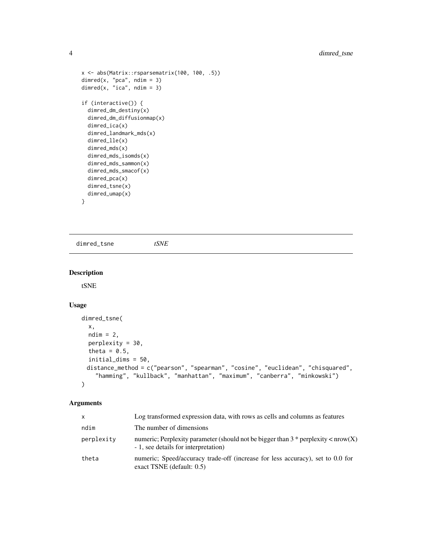```
x <- abs(Matrix::rsparsematrix(100, 100, .5))
dimred(x, "pca", ndim = 3)
dimred(x, "ica", ndim = 3)
if (interactive()) {
  dimred_dm_destiny(x)
  dimred_dm_diffusionmap(x)
  dimred_ica(x)
  dimred_landmark_mds(x)
  dimred_lle(x)
  dimred_mds(x)
  dimred_mds_isomds(x)
  dimred_mds_sammon(x)
  dimred_mds_smacof(x)
  dimred_pca(x)
  dimred_tsne(x)
  dimred_umap(x)
}
```
dimred\_tsne *tSNE*

### Description

tSNE

## Usage

```
dimred_tsne(
  x,
  ndim = 2,perplexity = 30,
  theta = 0.5,
  initial_dims = 50,
 distance_method = c("pearson", "spearman", "cosine", "euclidean", "chisquared",
    "hamming", "kullback", "manhattan", "maximum", "canberra", "minkowski")
\mathcal{L}
```
#### Arguments

| x          | Log transformed expression data, with rows as cells and columns as features                                                     |
|------------|---------------------------------------------------------------------------------------------------------------------------------|
| ndim       | The number of dimensions                                                                                                        |
| perplexity | numeric; Perplexity parameter (should not be bigger than $3 *$ perplexity $\lt$ nrow(X)<br>- 1, see details for interpretation) |
| theta      | numeric; Speed/accuracy trade-off (increase for less accuracy), set to 0.0 for<br>exact TSNE (default: $0.5$ )                  |

<span id="page-3-0"></span>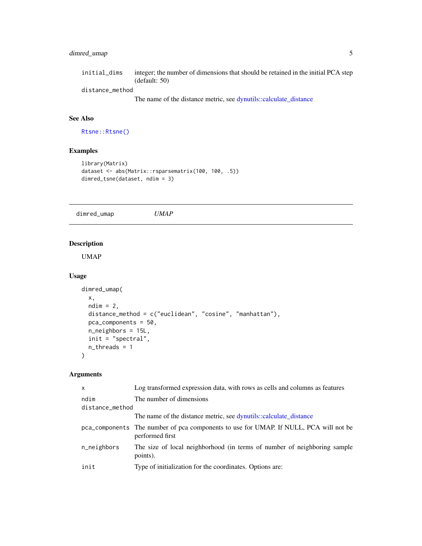## <span id="page-4-0"></span>dimred\_umap 5

| initial dims    | integer; the number of dimensions that should be retained in the initial PCA step |
|-----------------|-----------------------------------------------------------------------------------|
|                 | (default: 50)                                                                     |
| distance method |                                                                                   |
|                 | The name of the distance metric, see dynutils::calculate distance                 |

## See Also

[Rtsne::Rtsne\(\)](#page-0-0)

## Examples

```
library(Matrix)
dataset <- abs(Matrix::rsparsematrix(100, 100, .5))
dimred_tsne(dataset, ndim = 3)
```
dimred\_umap *UMAP*

## Description

UMAP

## Usage

```
dimred_umap(
  x,
 ndim = 2,distance_method = c("euclidean", "cosine", "manhattan"),
 pca_components = 50,
 n_neighbors = 15L,
 init = "spectral",
 n_threads = 1
\mathcal{L}
```
## Arguments

| $\mathsf{x}$    | Log transformed expression data, with rows as cells and columns as features                              |  |  |  |  |  |  |
|-----------------|----------------------------------------------------------------------------------------------------------|--|--|--|--|--|--|
| ndim            | The number of dimensions                                                                                 |  |  |  |  |  |  |
| distance_method |                                                                                                          |  |  |  |  |  |  |
|                 | The name of the distance metric, see dynutils::calculate_distance                                        |  |  |  |  |  |  |
|                 | pca_components The number of pca components to use for UMAP. If NULL, PCA will not be<br>performed first |  |  |  |  |  |  |
| n_neighbors     | The size of local neighborhood (in terms of number of neighboring sample<br>points).                     |  |  |  |  |  |  |
| init            | Type of initialization for the coordinates. Options are:                                                 |  |  |  |  |  |  |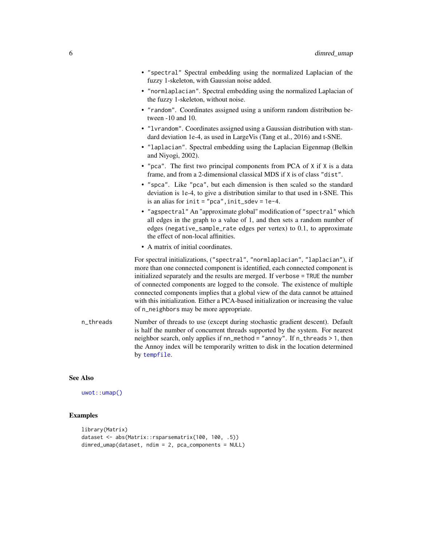<span id="page-5-0"></span>

|           | • "spectral" Spectral embedding using the normalized Laplacian of the<br>fuzzy 1-skeleton, with Gaussian noise added.                                                                                                                                                                                                                                                                                                                                                                                                                               |
|-----------|-----------------------------------------------------------------------------------------------------------------------------------------------------------------------------------------------------------------------------------------------------------------------------------------------------------------------------------------------------------------------------------------------------------------------------------------------------------------------------------------------------------------------------------------------------|
|           | • "normlaplacian". Spectral embedding using the normalized Laplacian of<br>the fuzzy 1-skeleton, without noise.                                                                                                                                                                                                                                                                                                                                                                                                                                     |
|           | • "random". Coordinates assigned using a uniform random distribution be-<br>tween $-10$ and 10.                                                                                                                                                                                                                                                                                                                                                                                                                                                     |
|           | • "1vrandom". Coordinates assigned using a Gaussian distribution with stan-<br>dard deviation 1e-4, as used in LargeVis (Tang et al., 2016) and t-SNE.                                                                                                                                                                                                                                                                                                                                                                                              |
|           | • "laplacian". Spectral embedding using the Laplacian Eigenmap (Belkin<br>and Niyogi, 2002).                                                                                                                                                                                                                                                                                                                                                                                                                                                        |
|           | • "pca". The first two principal components from PCA of X if X is a data<br>frame, and from a 2-dimensional classical MDS if X is of class "dist".                                                                                                                                                                                                                                                                                                                                                                                                  |
|           | • "spca". Like "pca", but each dimension is then scaled so the standard<br>deviation is 1e-4, to give a distribution similar to that used in t-SNE. This<br>is an alias for $init = "pca", init_sdev = 1e-4.$                                                                                                                                                                                                                                                                                                                                       |
|           | • "agspectral" An "approximate global" modification of "spectral" which<br>all edges in the graph to a value of 1, and then sets a random number of<br>edges (negative_sample_rate edges per vertex) to 0.1, to approximate<br>the effect of non-local affinities.                                                                                                                                                                                                                                                                                  |
|           | • A matrix of initial coordinates.                                                                                                                                                                                                                                                                                                                                                                                                                                                                                                                  |
|           | For spectral initializations, ("spectral", "normlaplacian", "laplacian"), if<br>more than one connected component is identified, each connected component is<br>initialized separately and the results are merged. If verbose = TRUE the number<br>of connected components are logged to the console. The existence of multiple<br>connected components implies that a global view of the data cannot be attained<br>with this initialization. Either a PCA-based initialization or increasing the value<br>of n_neighbors may be more appropriate. |
| n_threads | Number of threads to use (except during stochastic gradient descent). Default<br>is half the number of concurrent threads supported by the system. For nearest<br>neighbor search, only applies if nn_method = "annoy". If n_threads > 1, then<br>the Annoy index will be temporarily written to disk in the location determined<br>by tempfile.                                                                                                                                                                                                    |

## See Also

[uwot::umap\(\)](#page-0-0)

## Examples

```
library(Matrix)
dataset <- abs(Matrix::rsparsematrix(100, 100, .5))
dimred_umap(dataset, ndim = 2, pca_components = NULL)
```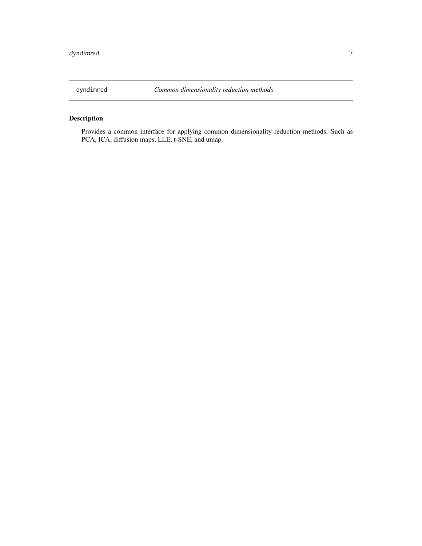<span id="page-6-0"></span>

## Description

Provides a common interface for applying common dimensionality reduction methods, Such as PCA, ICA, diffusion maps, LLE, t-SNE, and umap.